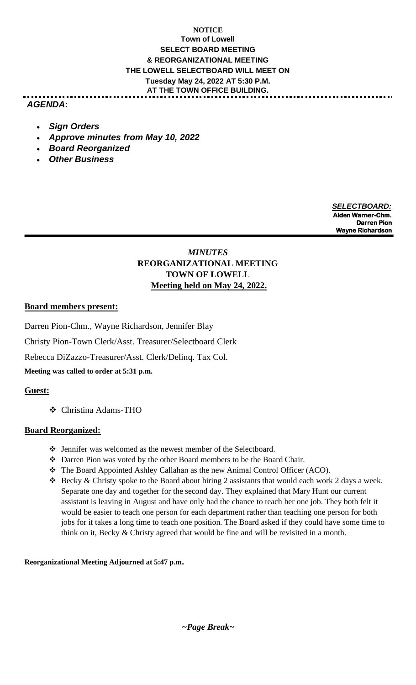## **NOTICE Town of Lowell SELECT BOARD MEETING & REORGANIZATIONAL MEETING THE LOWELL SELECTBOARD WILL MEET ON Tuesday May 24, 2022 AT 5:30 P.M. AT THE TOWN OFFICE BUILDING.**

## *AGENDA***:**

- *Sign Orders*
- *Approve minutes from May 10, 2022*
- *Board Reorganized*
- *Other Business*

 *SELECTBOARD:* **Alden Warner-Chm. Darren Pion Wayne Richardson**

# *MINUTES* **REORGANIZATIONAL MEETING TOWN OF LOWELL Meeting held on May 24, 2022.**

### **Board members present:**

Darren Pion-Chm., Wayne Richardson, Jennifer Blay

Christy Pion-Town Clerk/Asst. Treasurer/Selectboard Clerk

Rebecca DiZazzo-Treasurer/Asst. Clerk/Delinq. Tax Col.

**Meeting was called to order at 5:31 p.m.**

## **Guest:**

❖ Christina Adams-THO

## **Board Reorganized:**

- ❖ Jennifer was welcomed as the newest member of the Selectboard.
- ❖ Darren Pion was voted by the other Board members to be the Board Chair.
- ❖ The Board Appointed Ashley Callahan as the new Animal Control Officer (ACO).
- ❖ Becky & Christy spoke to the Board about hiring 2 assistants that would each work 2 days a week. Separate one day and together for the second day. They explained that Mary Hunt our current assistant is leaving in August and have only had the chance to teach her one job. They both felt it would be easier to teach one person for each department rather than teaching one person for both jobs for it takes a long time to teach one position. The Board asked if they could have some time to think on it, Becky & Christy agreed that would be fine and will be revisited in a month.

**Reorganizational Meeting Adjourned at 5:47 p.m.**

*~Page Break~*